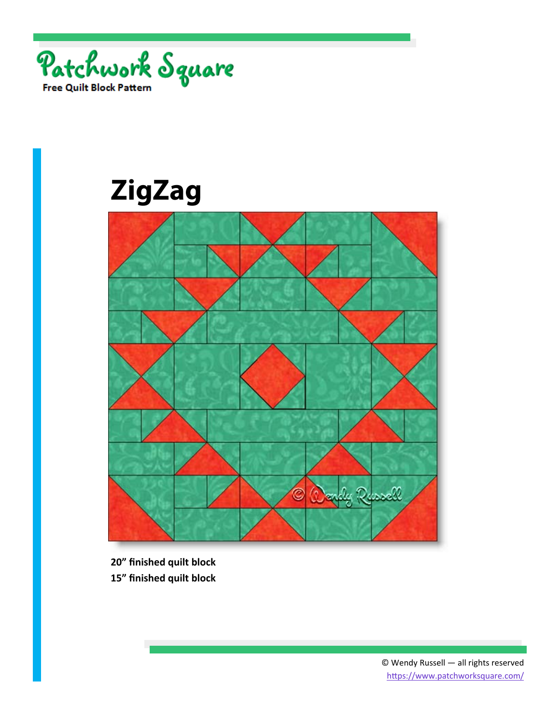

## **ZigZag**



**20" finished quilt block 15" finished quilt block**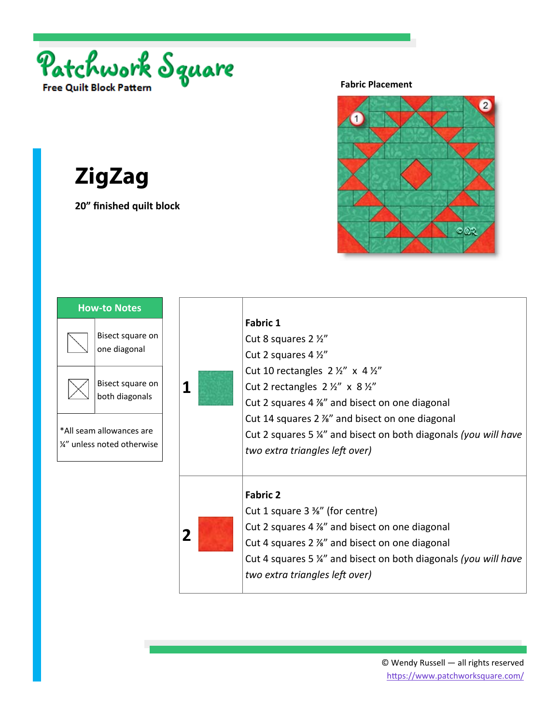

**ZigZag**

**20" finished quilt block** 

**Fabric Placement** 



**1 Fabric 1** Cut 8 squares 2 ½" Cut 2 squares 4 ½" Cut 10 rectangles  $2 \frac{1}{2}$ " x 4  $\frac{1}{2}$ " Cut 2 rectangles  $2 \frac{1}{2}$  x  $8 \frac{1}{2}$ Cut 2 squares 4 ⅞" and bisect on one diagonal Cut 14 squares 2 ⅞" and bisect on one diagonal Cut 2 squares 5 ¼" and bisect on both diagonals *(you will have two extra triangles left over)* **2 Fabric 2**  Cut 1 square 3 ⅜" (for centre) Cut 2 squares 4 ⅞" and bisect on one diagonal Cut 4 squares 2 ⅞" and bisect on one diagonal Cut 4 squares 5 ¼" and bisect on both diagonals *(you will have two extra triangles left over)* **How‐to Notes**  Bisect square on one diagonal Bisect square on both diagonals \*All seam allowances are ¼" unless noted otherwise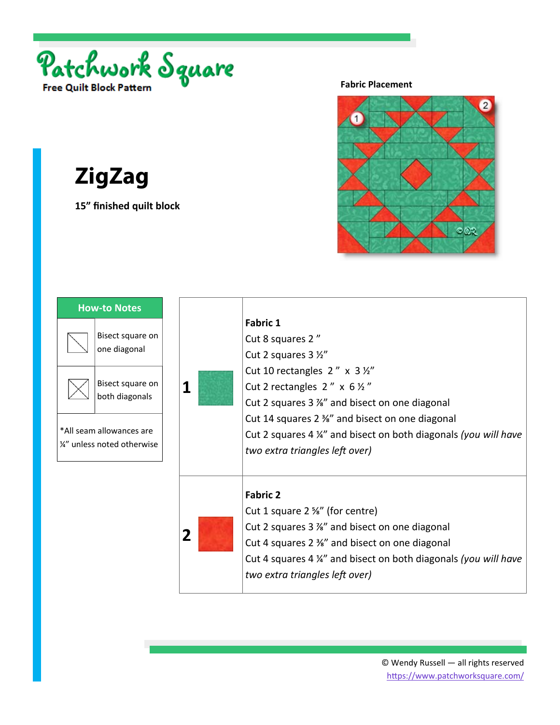

**ZigZag**

**15" finished quilt block** 

**Fabric Placement** 



**1 Fabric 1** Cut 8 squares 2 " Cut 2 squares 3 ½" Cut 10 rectangles  $2'' \times 3 \frac{1}{2}$ Cut 2 rectangles  $2'' \times 6 \frac{1}{2}$ Cut 2 squares 3 ⅞" and bisect on one diagonal Cut 14 squares 2 ⅜" and bisect on one diagonal Cut 2 squares 4 ¼" and bisect on both diagonals *(you will have two extra triangles left over)* **2 Fabric 2**  Cut 1 square 2 ⅝" (for centre) Cut 2 squares 3 ⅞" and bisect on one diagonal Cut 4 squares 2 ⅜" and bisect on one diagonal Cut 4 squares 4 ¼" and bisect on both diagonals *(you will have two extra triangles left over)* **How‐to Notes**  Bisect square on one diagonal Bisect square on both diagonals \*All seam allowances are ¼" unless noted otherwise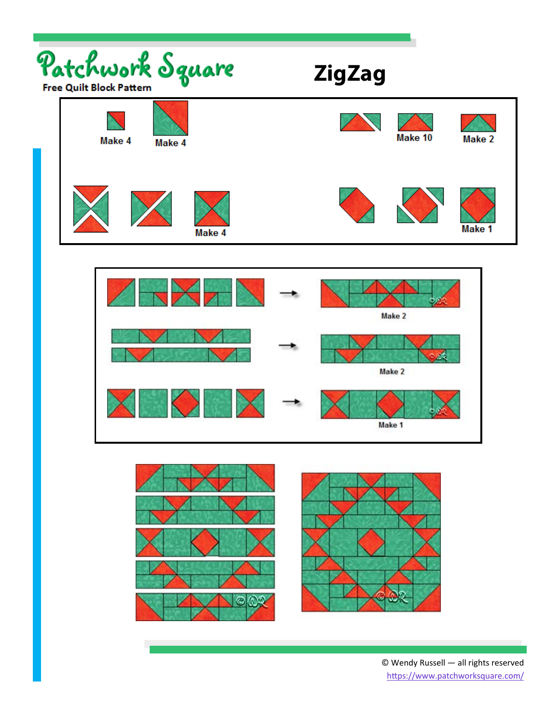





© Wendy Russell — all rights reserved https://www.patchworksquare.com/